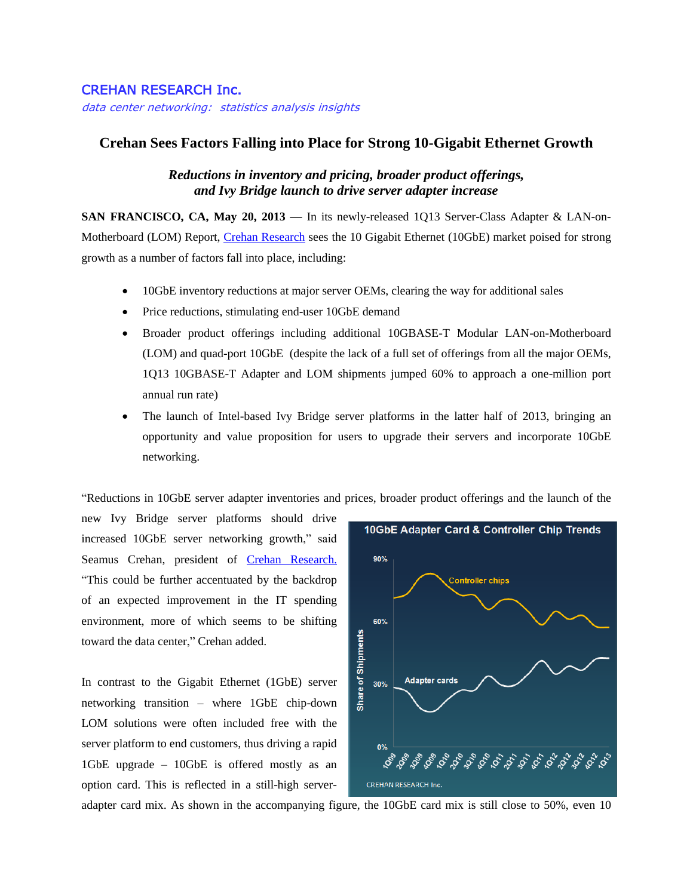## CREHAN RESEARCH Inc.

data center networking: statistics analysis insights

## **Crehan Sees Factors Falling into Place for Strong 10-Gigabit Ethernet Growth**

## *Reductions in inventory and pricing, broader product offerings, and Ivy Bridge launch to drive server adapter increase*

**SAN FRANCISCO, CA, May 20, 2013 —** In its newly-released 1Q13 Server-Class Adapter & LAN-on-Motherboard (LOM) Report, [Crehan Research](http://www.crehanresearch.com/) sees the 10 Gigabit Ethernet (10GbE) market poised for strong growth as a number of factors fall into place, including:

- 10GbE inventory reductions at major server OEMs, clearing the way for additional sales
- Price reductions, stimulating end-user 10GbE demand
- Broader product offerings including additional 10GBASE-T Modular LAN-on-Motherboard (LOM) and quad-port 10GbE (despite the lack of a full set of offerings from all the major OEMs, 1Q13 10GBASE-T Adapter and LOM shipments jumped 60% to approach a one-million port annual run rate)
- The launch of Intel-based Ivy Bridge server platforms in the latter half of 2013, bringing an opportunity and value proposition for users to upgrade their servers and incorporate 10GbE networking.

"Reductions in 10GbE server adapter inventories and prices, broader product offerings and the launch of the

new Ivy Bridge server platforms should drive increased 10GbE server networking growth," said Seamus Crehan, president of Crehan Research. "This could be further accentuated by the backdrop of an expected improvement in the IT spending environment, more of which seems to be shifting toward the data center," Crehan added.

In contrast to the Gigabit Ethernet (1GbE) server networking transition – where 1GbE chip-down LOM solutions were often included free with the server platform to end customers, thus driving a rapid 1GbE upgrade – 10GbE is offered mostly as an option card. This is reflected in a still-high server-



adapter card mix. As shown in the accompanying figure, the 10GbE card mix is still close to 50%, even 10